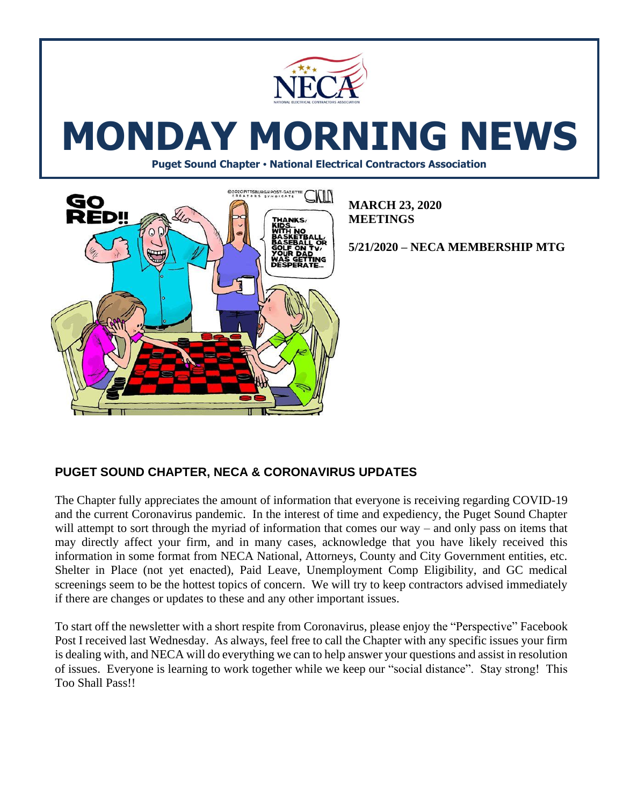

# **MONDAY MORNING NEWS**

**Puget Sound Chapter • National Electrical Contractors Association**



**MARCH 23, 2020 MEETINGS**

**5/21/2020 – NECA MEMBERSHIP MTG**

# **PUGET SOUND CHAPTER, NECA & CORONAVIRUS UPDATES**

The Chapter fully appreciates the amount of information that everyone is receiving regarding COVID-19 and the current Coronavirus pandemic. In the interest of time and expediency, the Puget Sound Chapter will attempt to sort through the myriad of information that comes our way – and only pass on items that may directly affect your firm, and in many cases, acknowledge that you have likely received this information in some format from NECA National, Attorneys, County and City Government entities, etc. Shelter in Place (not yet enacted), Paid Leave, Unemployment Comp Eligibility, and GC medical screenings seem to be the hottest topics of concern. We will try to keep contractors advised immediately if there are changes or updates to these and any other important issues.

To start off the newsletter with a short respite from Coronavirus, please enjoy the "Perspective" Facebook Post I received last Wednesday. As always, feel free to call the Chapter with any specific issues your firm is dealing with, and NECA will do everything we can to help answer your questions and assist in resolution of issues. Everyone is learning to work together while we keep our "social distance". Stay strong! This Too Shall Pass!!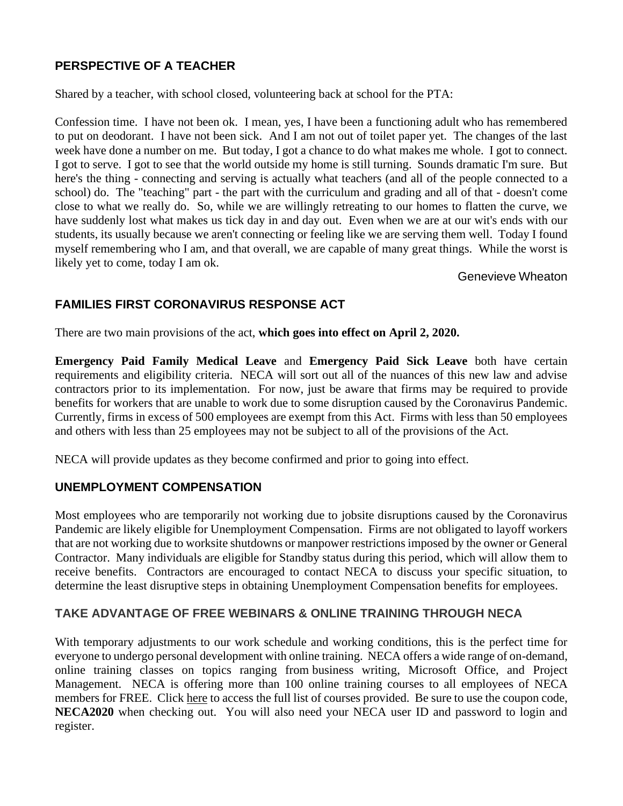# **PERSPECTIVE OF A TEACHER**

Shared by a teacher, with school closed, volunteering back at school for the PTA:

Confession time. I have not been ok. I mean, yes, I have been a functioning adult who has remembered to put on deodorant. I have not been sick. And I am not out of toilet paper yet. The changes of the last week have done a number on me. But today, I got a chance to do what makes me whole. I got to connect. I got to serve. I got to see that the world outside my home is still turning. Sounds dramatic I'm sure. But here's the thing - connecting and serving is actually what teachers (and all of the people connected to a school) do. The "teaching" part - the part with the curriculum and grading and all of that - doesn't come close to what we really do. So, while we are willingly retreating to our homes to flatten the curve, we have suddenly lost what makes us tick day in and day out. Even when we are at our wit's ends with our students, its usually because we aren't connecting or feeling like we are serving them well. Today I found myself remembering who I am, and that overall, we are capable of many great things. While the worst is likely yet to come, today I am ok.

Genevieve Wheaton

# **FAMILIES FIRST CORONAVIRUS RESPONSE ACT**

There are two main provisions of the act, **which goes into effect on April 2, 2020.**

**Emergency Paid Family Medical Leave** and **Emergency Paid Sick Leave** both have certain requirements and eligibility criteria. NECA will sort out all of the nuances of this new law and advise contractors prior to its implementation. For now, just be aware that firms may be required to provide benefits for workers that are unable to work due to some disruption caused by the Coronavirus Pandemic. Currently, firms in excess of 500 employees are exempt from this Act. Firms with less than 50 employees and others with less than 25 employees may not be subject to all of the provisions of the Act.

NECA will provide updates as they become confirmed and prior to going into effect.

## **UNEMPLOYMENT COMPENSATION**

Most employees who are temporarily not working due to jobsite disruptions caused by the Coronavirus Pandemic are likely eligible for Unemployment Compensation. Firms are not obligated to layoff workers that are not working due to worksite shutdowns or manpower restrictions imposed by the owner or General Contractor. Many individuals are eligible for Standby status during this period, which will allow them to receive benefits. Contractors are encouraged to contact NECA to discuss your specific situation, to determine the least disruptive steps in obtaining Unemployment Compensation benefits for employees.

## **TAKE ADVANTAGE OF FREE WEBINARS & ONLINE TRAINING THROUGH NECA**

With temporary adjustments to our work schedule and working conditions, this is the perfect time for everyone to undergo personal development with online training. NECA offers a wide range of on-demand, online training classes on topics ranging from business writing, Microsoft Office, and Project Management. NECA is offering more than 100 online training courses to all employees of NECA members for FREE. Click [here](https://www.necanet.org/about-us/news/news-release-archive/news/2020/03/18/neca-education-take-advantage-of-free-webinars-online-training) to access the full list of courses provided. Be sure to use the coupon code, **NECA2020** when checking out. You will also need your NECA user ID and password to login and register.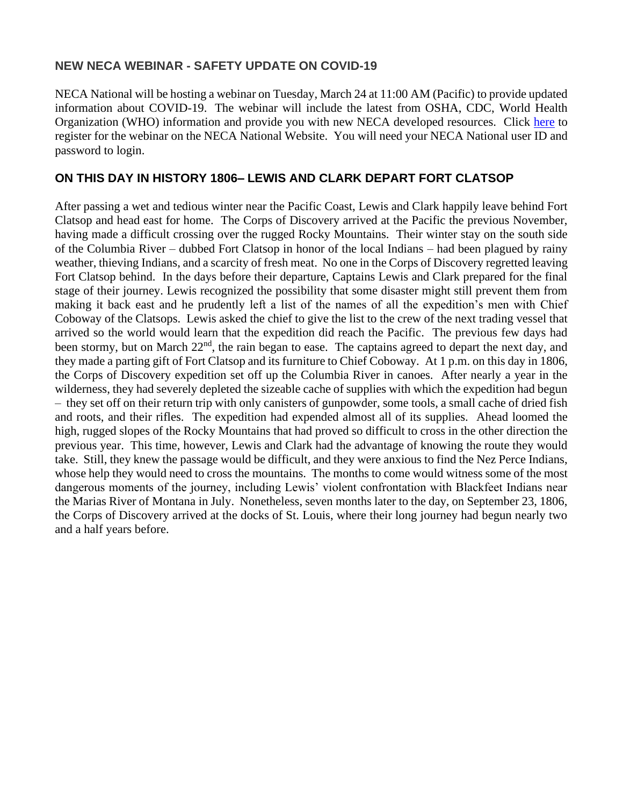### **NEW NECA WEBINAR - SAFETY UPDATE ON COVID-19**

NECA National will be hosting a webinar on Tuesday, March 24 at 11:00 AM (Pacific) to provide updated information about COVID-19. The webinar will include the latest from OSHA, CDC, World Health Organization (WHO) information and provide you with new NECA developed resources. Click [here](https://apps.necanet.org/login.cfm?ReturnURL=http://www.necanet.org/utility/log-in&externalReturnUrl=https://courses.necanet.org/login?redirect=https%3A%2F%2Fcourses.necanet.org%2Fcourse%2Fsession%2Fdetails%2F589) to register for the webinar on the NECA National Website. You will need your NECA National user ID and password to login.

### **ON THIS DAY IN HISTORY 1806– LEWIS AND CLARK DEPART FORT CLATSOP**

After passing a wet and tedious winter near the Pacific Coast, [Lewis and Clark](https://www.history.com/topics/lewis-and-clark) happily leave behind Fort Clatsop and head east for home. The Corps of Discovery arrived at the Pacific the previous November, having made a difficult crossing over the rugged Rocky Mountains. Their winter stay on the south side of the Columbia River – dubbed Fort Clatsop in honor of the local Indians – had been plagued by rainy weather, thieving Indians, and a scarcity of fresh meat. No one in the Corps of Discovery regretted leaving Fort Clatsop behind. In the days before their departure, Captains Lewis and Clark prepared for the final stage of their journey. Lewis recognized the possibility that some disaster might still prevent them from making it back east and he prudently left a list of the names of all the expedition's men with Chief Coboway of the Clatsops. Lewis asked the chief to give the list to the crew of the next trading vessel that arrived so the world would learn that the expedition did reach the Pacific. The previous few days had been stormy, but on March 22<sup>nd</sup>, the rain began to ease. The captains agreed to depart the next day, and they made a parting gift of Fort Clatsop and its furniture to Chief Coboway. At 1 p.m. on this day in 1806, the Corps of Discovery expedition set off up the Columbia River in canoes. After nearly a year in the wilderness, they had severely depleted the sizeable cache of supplies with which the expedition had begun – they set off on their return trip with only canisters of gunpowder, some tools, a small cache of dried fish and roots, and their rifles. The expedition had expended almost all of its supplies. Ahead loomed the high, rugged slopes of the Rocky Mountains that had proved so difficult to cross in the other direction the previous year. This time, however, Lewis and Clark had the advantage of knowing the route they would take. Still, they knew the passage would be difficult, and they were anxious to find the Nez Perce Indians, whose help they would need to cross the mountains. The months to come would witness some of the most dangerous moments of the journey, including Lewis' violent confrontation with Blackfeet Indians near the Marias River of [Montana](https://www.history.com/topics/us-states/montana) in July. Nonetheless, seven months later to the day, on September 23, 1806, the Corps of Discovery arrived at the docks of St. Louis, where their long journey had begun nearly two and a half years before.